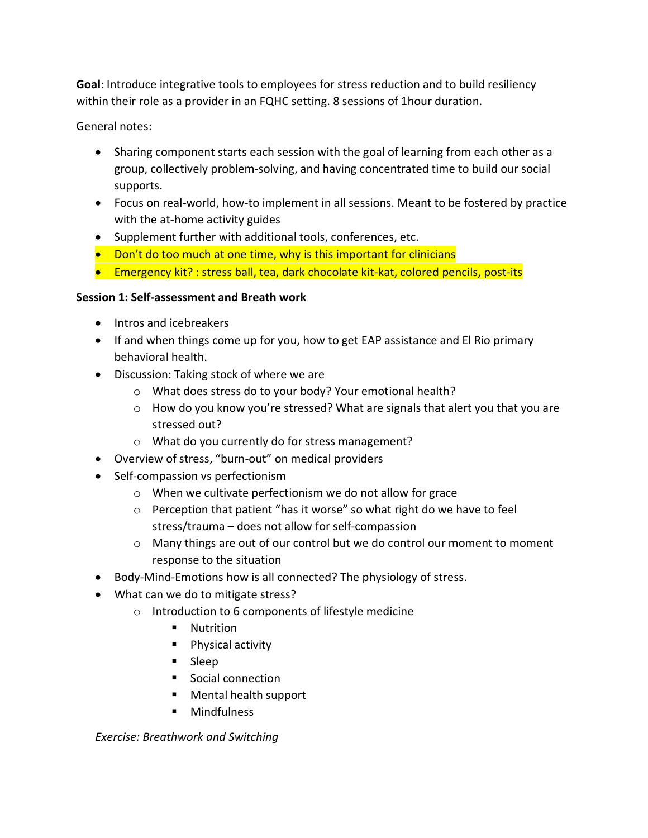**Goal**: Introduce integrative tools to employees for stress reduction and to build resiliency within their role as a provider in an FQHC setting. 8 sessions of 1hour duration.

General notes:

- Sharing component starts each session with the goal of learning from each other as a group, collectively problem-solving, and having concentrated time to build our social supports.
- Focus on real-world, how-to implement in all sessions. Meant to be fostered by practice with the at-home activity guides
- Supplement further with additional tools, conferences, etc.
- Don't do too much at one time, why is this important for clinicians
- Emergency kit? : stress ball, tea, dark chocolate kit-kat, colored pencils, post-its

# **Session 1: Self-assessment and Breath work**

- Intros and icebreakers
- If and when things come up for you, how to get EAP assistance and El Rio primary behavioral health.
- Discussion: Taking stock of where we are
	- o What does stress do to your body? Your emotional health?
	- $\circ$  How do you know you're stressed? What are signals that alert you that you are stressed out?
	- o What do you currently do for stress management?
- Overview of stress, "burn-out" on medical providers
- Self-compassion vs perfectionism
	- o When we cultivate perfectionism we do not allow for grace
	- o Perception that patient "has it worse" so what right do we have to feel stress/trauma – does not allow for self-compassion
	- $\circ$  Many things are out of our control but we do control our moment to moment response to the situation
- Body-Mind-Emotions how is all connected? The physiology of stress.
- What can we do to mitigate stress?
	- o Introduction to 6 components of lifestyle medicine
		- **Nutrition**
		- **Physical activity**
		- Sleep
		- Social connection
		- Mental health support
		- **Mindfulness**

*Exercise: Breathwork and Switching*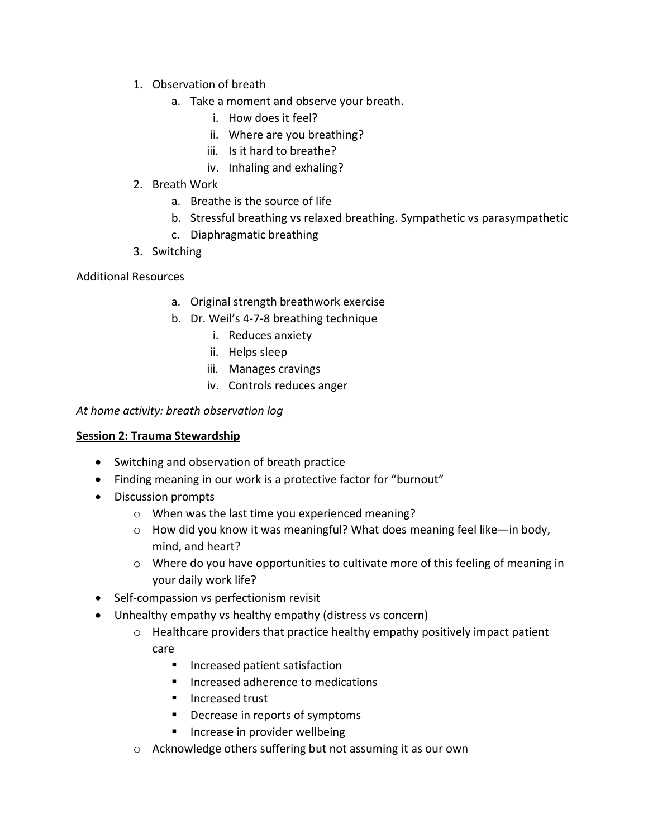- 1. Observation of breath
	- a. Take a moment and observe your breath.
		- i. How does it feel?
		- ii. Where are you breathing?
		- iii. Is it hard to breathe?
		- iv. Inhaling and exhaling?
- 2. Breath Work
	- a. Breathe is the source of life
	- b. Stressful breathing vs relaxed breathing. Sympathetic vs parasympathetic
	- c. Diaphragmatic breathing
- 3. Switching

#### Additional Resources

- a. Original strength breathwork exercise
- b. Dr. Weil's 4-7-8 breathing technique
	- i. Reduces anxiety
	- ii. Helps sleep
	- iii. Manages cravings
	- iv. Controls reduces anger

#### *At home activity: breath observation log*

#### **Session 2: Trauma Stewardship**

- Switching and observation of breath practice
- Finding meaning in our work is a protective factor for "burnout"
- Discussion prompts
	- o When was the last time you experienced meaning?
	- $\circ$  How did you know it was meaningful? What does meaning feel like—in body, mind, and heart?
	- $\circ$  Where do you have opportunities to cultivate more of this feeling of meaning in your daily work life?
- Self-compassion vs perfectionism revisit
- Unhealthy empathy vs healthy empathy (distress vs concern)
	- $\circ$  Healthcare providers that practice healthy empathy positively impact patient care
		- **Increased patient satisfaction**
		- **Increased adherence to medications**
		- **Increased trust**
		- **•** Decrease in reports of symptoms
		- **Increase in provider wellbeing**
	- o Acknowledge others suffering but not assuming it as our own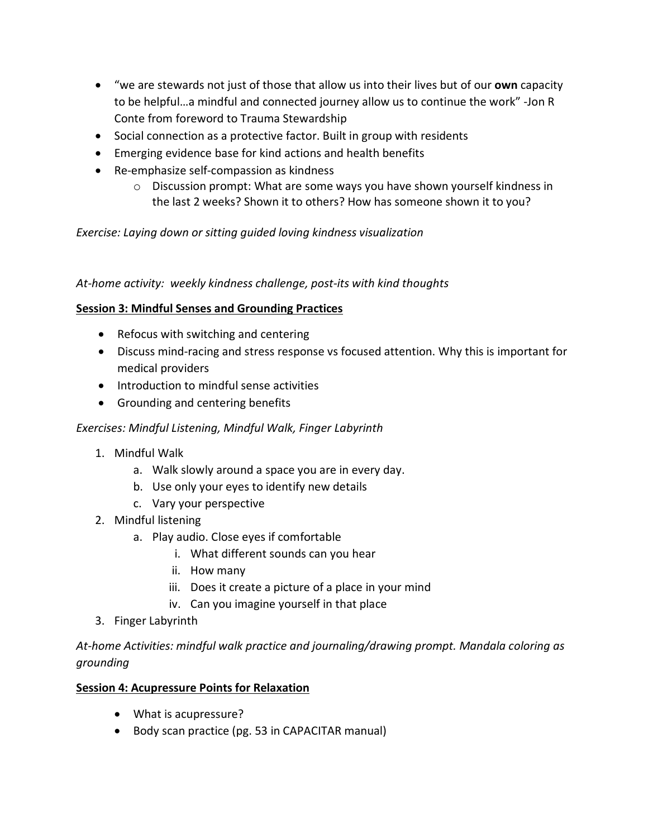- "we are stewards not just of those that allow us into their lives but of our **own** capacity to be helpful…a mindful and connected journey allow us to continue the work" -Jon R Conte from foreword to Trauma Stewardship
- Social connection as a protective factor. Built in group with residents
- Emerging evidence base for kind actions and health benefits
- Re-emphasize self-compassion as kindness
	- o Discussion prompt: What are some ways you have shown yourself kindness in the last 2 weeks? Shown it to others? How has someone shown it to you?

*Exercise: Laying down or sitting guided loving kindness visualization*

*At-home activity: weekly kindness challenge, post-its with kind thoughts*

### **Session 3: Mindful Senses and Grounding Practices**

- Refocus with switching and centering
- Discuss mind-racing and stress response vs focused attention. Why this is important for medical providers
- Introduction to mindful sense activities
- Grounding and centering benefits

### *Exercises: Mindful Listening, Mindful Walk, Finger Labyrinth*

- 1. Mindful Walk
	- a. Walk slowly around a space you are in every day.
	- b. Use only your eyes to identify new details
	- c. Vary your perspective
- 2. Mindful listening
	- a. Play audio. Close eyes if comfortable
		- i. What different sounds can you hear
		- ii. How many
		- iii. Does it create a picture of a place in your mind
		- iv. Can you imagine yourself in that place
- 3. Finger Labyrinth

*At-home Activities: mindful walk practice and journaling/drawing prompt. Mandala coloring as grounding* 

### **Session 4: Acupressure Points for Relaxation**

- What is acupressure?
- Body scan practice (pg. 53 in CAPACITAR manual)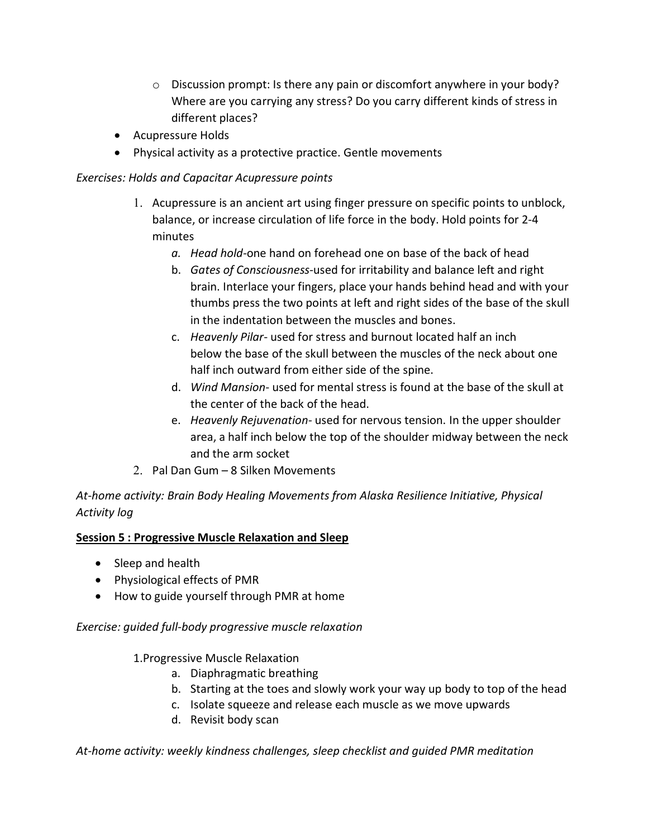- $\circ$  Discussion prompt: Is there any pain or discomfort anywhere in your body? Where are you carrying any stress? Do you carry different kinds of stress in different places?
- Acupressure Holds
- Physical activity as a protective practice. Gentle movements

### *Exercises: Holds and Capacitar Acupressure points*

- 1. Acupressure is an ancient art using finger pressure on specific points to unblock, balance, or increase circulation of life force in the body. Hold points for 2-4 minutes
	- *a. Head hold-*one hand on forehead one on base of the back of head
	- b. *Gates of Consciousness*-used for irritability and balance left and right brain. Interlace your fingers, place your hands behind head and with your thumbs press the two points at left and right sides of the base of the skull in the indentation between the muscles and bones.
	- c. *Heavenly Pilar* used for stress and burnout located half an inch below the base of the skull between the muscles of the neck about one half inch outward from either side of the spine.
	- d. *Wind Mansion* used for mental stress is found at the base of the skull at the center of the back of the head.
	- e. *Heavenly Rejuvenation-* used for nervous tension. In the upper shoulder area, a half inch below the top of the shoulder midway between the neck and the arm socket
- 2. Pal Dan Gum 8 Silken Movements

*At-home activity: Brain Body Healing Movements from Alaska Resilience Initiative, Physical Activity log* 

### **Session 5 : Progressive Muscle Relaxation and Sleep**

- Sleep and health
- Physiological effects of PMR
- How to guide yourself through PMR at home

### *Exercise: guided full-body progressive muscle relaxation*

1.Progressive Muscle Relaxation

- a. Diaphragmatic breathing
- b. Starting at the toes and slowly work your way up body to top of the head
- c. Isolate squeeze and release each muscle as we move upwards
- d. Revisit body scan

### *At-home activity: weekly kindness challenges, sleep checklist and guided PMR meditation*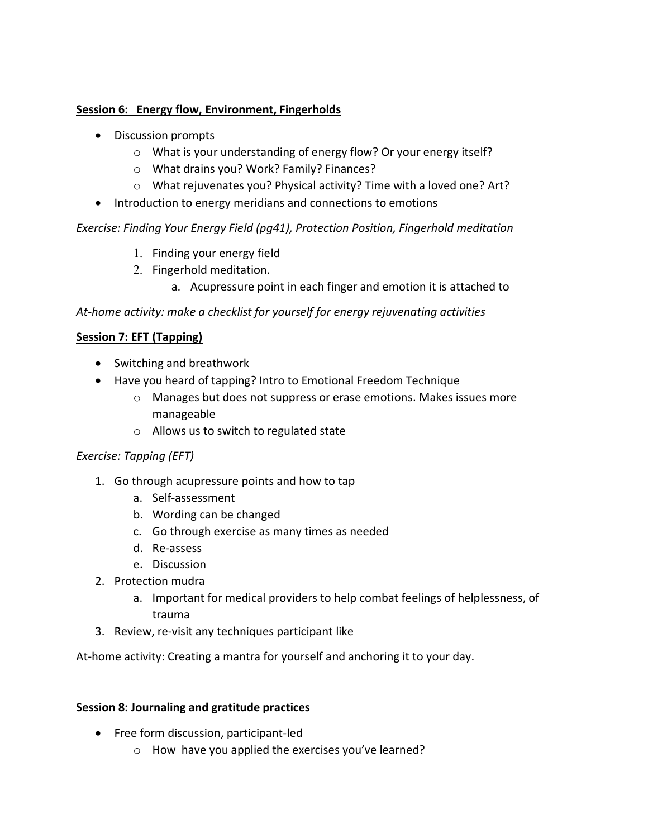### **Session 6: Energy flow, Environment, Fingerholds**

- Discussion prompts
	- o What is your understanding of energy flow? Or your energy itself?
	- o What drains you? Work? Family? Finances?
	- o What rejuvenates you? Physical activity? Time with a loved one? Art?
- Introduction to energy meridians and connections to emotions

*Exercise: Finding Your Energy Field (pg41), Protection Position, Fingerhold meditation* 

- 1. Finding your energy field
- 2. Fingerhold meditation.
	- a. Acupressure point in each finger and emotion it is attached to

# *At-home activity: make a checklist for yourself for energy rejuvenating activities*

# **Session 7: EFT (Tapping)**

- Switching and breathwork
- Have you heard of tapping? Intro to Emotional Freedom Technique
	- o Manages but does not suppress or erase emotions. Makes issues more manageable
	- o Allows us to switch to regulated state

# *Exercise: Tapping (EFT)*

- 1. Go through acupressure points and how to tap
	- a. Self-assessment
	- b. Wording can be changed
	- c. Go through exercise as many times as needed
	- d. Re-assess
	- e. Discussion
- 2. Protection mudra
	- a. Important for medical providers to help combat feelings of helplessness, of trauma
- 3. Review, re-visit any techniques participant like

At-home activity: Creating a mantra for yourself and anchoring it to your day.

### **Session 8: Journaling and gratitude practices**

- Free form discussion, participant-led
	- o How have you applied the exercises you've learned?